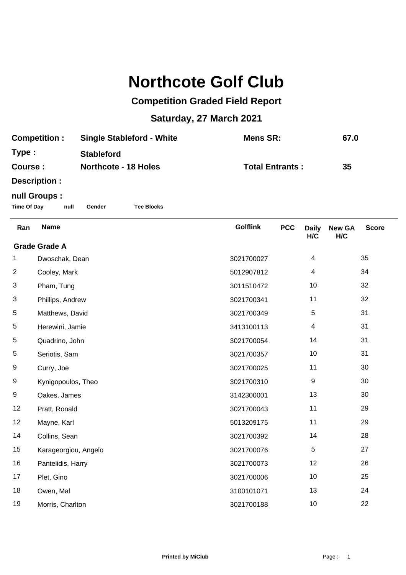## **Northcote Golf Club**

## **Competition Graded Field Report**

## **Saturday, 27 March 2021**

| <b>Competition:</b> | <b>Single Stableford - White</b> | Mens SR:               | 67.0 |
|---------------------|----------------------------------|------------------------|------|
| Type:               | <b>Stableford</b>                |                        |      |
| Course :            | <b>Northcote - 18 Holes</b>      | <b>Total Entrants:</b> | 35   |
| Doografian :        |                                  |                        |      |

**Description :**

## **null Groups :**

**Time Of Day null Gender Tee Blocks**

| Ran                  | <b>Name</b>          | <b>Golflink</b> | <b>PCC</b> | <b>Daily</b><br>H/C | <b>New GA</b><br>H/C | <b>Score</b> |  |
|----------------------|----------------------|-----------------|------------|---------------------|----------------------|--------------|--|
| <b>Grade Grade A</b> |                      |                 |            |                     |                      |              |  |
| 1                    | Dwoschak, Dean       | 3021700027      |            | 4                   |                      | 35           |  |
| $\overline{2}$       | Cooley, Mark         | 5012907812      |            | 4                   |                      | 34           |  |
| 3                    | Pham, Tung           | 3011510472      |            | 10                  |                      | 32           |  |
| 3                    | Phillips, Andrew     | 3021700341      |            | 11                  |                      | 32           |  |
| 5                    | Matthews, David      | 3021700349      |            | 5                   |                      | 31           |  |
| 5                    | Herewini, Jamie      | 3413100113      |            | 4                   |                      | 31           |  |
| 5                    | Quadrino, John       | 3021700054      |            | 14                  |                      | 31           |  |
| 5                    | Seriotis, Sam        | 3021700357      |            | 10                  |                      | 31           |  |
| 9                    | Curry, Joe           | 3021700025      |            | 11                  |                      | 30           |  |
| 9                    | Kynigopoulos, Theo   | 3021700310      |            | 9                   |                      | 30           |  |
| 9                    | Oakes, James         | 3142300001      |            | 13                  |                      | 30           |  |
| 12                   | Pratt, Ronald        | 3021700043      |            | 11                  |                      | 29           |  |
| 12                   | Mayne, Karl          | 5013209175      |            | 11                  |                      | 29           |  |
| 14                   | Collins, Sean        | 3021700392      |            | 14                  |                      | 28           |  |
| 15                   | Karageorgiou, Angelo | 3021700076      |            | 5                   |                      | 27           |  |
| 16                   | Pantelidis, Harry    | 3021700073      |            | 12                  |                      | 26           |  |
| 17                   | Plet, Gino           | 3021700006      |            | 10                  |                      | 25           |  |
| 18                   | Owen, Mal            | 3100101071      |            | 13                  |                      | 24           |  |
| 19                   | Morris, Charlton     | 3021700188      |            | 10                  |                      | 22           |  |